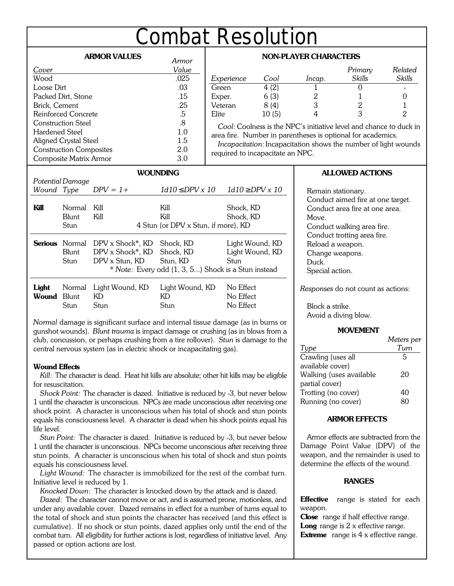# **Combat Resolution**

# **ARMOR VALUES**

| AKIVIUK VALUES                 | Armor       |
|--------------------------------|-------------|
| Cover                          | Value       |
| Wood                           | .025        |
| Loose Dirt                     | .03         |
| Packed Dirt, Stone             | .15         |
| Brick, Cement                  | .25         |
| Reinforced Concrete            | .5          |
| <b>Construction Steel</b>      | $8^{\circ}$ |
| Hardened Steel                 | 1.0         |
| Aligned Crystal Steel          | 1.5         |
| <b>Construction Composites</b> | 2.0         |
| Composite Matrix Armor         | 3.0         |

| <b>NON-PLAYER CHARACTERS</b>                                                                                                      |       |        |         |         |
|-----------------------------------------------------------------------------------------------------------------------------------|-------|--------|---------|---------|
|                                                                                                                                   |       |        | Primary | Related |
| Experience                                                                                                                        | Cool  | Incap. | Skills  | Skills  |
| Green                                                                                                                             | 4(2)  |        |         |         |
| Exper.                                                                                                                            | 6(3)  | 2      |         |         |
| Veteran                                                                                                                           | 8(4)  | 3      |         |         |
| Elite                                                                                                                             | 10(5) |        |         | 2       |
| Cool: Coolness is the NPC's initiative level and chance to duck in<br>area fire. Number in parentheses is optional for academics. |       |        |         |         |
| The composition to the composition to compute the composition of the base condition                                               |       |        |         |         |

*Incapacitation:* Incapacitation shows the number of light wounds required to incapacitate an NPC.

| <b>WOUNDING</b>                                     |                                             |                  |                         |                  |
|-----------------------------------------------------|---------------------------------------------|------------------|-------------------------|------------------|
|                                                     | Potential Damage                            |                  |                         |                  |
| Wound Type                                          |                                             | $DPV = 1 +$      | $DPV \times 10$<br>1d10 | $1d10$ DPV $x10$ |
|                                                     |                                             |                  |                         |                  |
| Kill                                                | Normal                                      | Kill             | Kill                    | Shock, KD        |
|                                                     | Blunt                                       | Kill             | Kill                    | Shock, KD        |
|                                                     | 4 Stun (or DPV x Stun, if more), KD<br>Stun |                  |                         |                  |
| <b>Serious</b>                                      | Normal                                      | DPV x Shock*, KD | Shock, KD               | Light Wound, KD  |
|                                                     | Blunt                                       | DPV x Shock*, KD | Shock, KD               | Light Wound, KD  |
|                                                     | Stun                                        | DPV x Stun, KD   | Stun, KD                | Stun             |
| * Note: Every odd (1, 3, 5) Shock is a Stun instead |                                             |                  |                         |                  |
| Light                                               | Normal                                      | Light Wound, KD  | Light Wound, KD         | No Effect        |
| <b>Wound</b> Blunt                                  |                                             | KD               | KD                      | No Effect        |
|                                                     | Stun                                        | Stun             | Stun                    | No Effect        |

*Normal* damage is significant surface and internal tissue damage (as in burns or gunshot wounds). *Blunt trauma* is impact damage or crushing (as in blows from a club, concussion, or perhaps crushing from a tire rollover). *Stun* is damage to the central nervous system (as in electric shock or incapacitating gas).

# **Wound Effects**

*Kill:* The character is dead. Heat hit kills are absolute; other hit kills may be eligible for resuscitation.

*Shock Point:* The character is dazed. Initiative is reduced by -3, but never below 1 until the character is unconscious. NPCs are made unconscious after receiving one shock point. A character is unconscious when his total of shock and stun points equals his consciousness level. A character is dead when his shock points equal his life level.

*Stun Point:* The character is dazed. Initiative is reduced by -3, but never below 1 until the character is unconscious. NPCs become unconscious after receiving three stun points. A character is unconscious when his total of shock and stun points equals his consciousness level.

*Light Wound:* The character is immobilized for the rest of the combat turn. Initiative level is reduced by 1.

*Knocked Down:* The character is knocked down by the attack and is dazed.

*Dazed:* The character cannot move or act, and is assumed prone, motionless, and under any available cover. Dazed remains in effect for a number of turns equal to the total of shock and stun points the character has received (and this effect is cumulative). If no shock or stun points, dazed applies only until the end of the combat turn. All eligibility for further actions is lost, regardless of initiative level. Any passed or option actions are lost.

# **ALLOWED ACTIONS**

Remain stationary. Conduct aimed fire at one target. Conduct area fire at one area. Move. Conduct walking area fire. Conduct trotting area fire. Reload a weapon. Change weapons. Duck. Special action.

*Responses* do not count as actions:

Block a strike. Avoid a diving blow.

# **MOVEMENT**

|                         | Meters per |
|-------------------------|------------|
| Type                    | Turn       |
| Crawling (uses all      | 5          |
| available cover)        |            |
| Walking (uses available | 20         |
| partial cover)          |            |
| Trotting (no cover)     | 40         |
| Running (no cover)      |            |
|                         |            |

# **ARMOR EFFECTS**

Armor effects are subtracted from the Damage Point Value (DPV) of the weapon, and the remainder is used to determine the effects of the wound.

# **RANGES**

**Effective** range is stated for each weapon.

**Close** range if half effective range. **Long** range is 2 x effective range. **Extreme** range is 4 x effective range.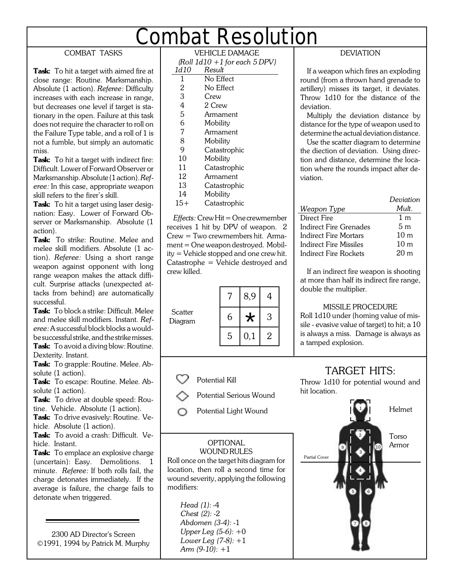# **Combat Resolution**

# COMBAT TASKS

**Task:** To hit a target with aimed fire at close range: Routine. Marksmanship. Absolute (1 action). *Referee:* Difficulty increases with each increase in range, but decreases one level if target is stationary in the open. Failure at this task does not require the character to roll on the Failure Type table, and a roll of 1 is not a fumble, but simply an automatic miss.

**Task:** To hit a target with indirect fire: Difficult. Lower of Forward Observer or Marksmanship. Absolute (1 action). *Referee:* In this case, appropriate weapon skill refers to the firer's skill.

**Task:** To hit a target using laser designation: Easy. Lower of Forward Observer or Marksmanship. Absolute (1 action).

**Task:** To strike: Routine. Melee and melee skill modifiers. Absolute (1 action). *Referee:* Using a short range weapon against opponent with long range weapon makes the attack difficult. Surprise attacks (unexpected attacks from behind) are automatically successful.

**Task:** To block a strike: Difficult. Melee and melee skill modifiers. Instant. *Referee:* A successful block blocks a wouldbe successful strike, and the strike misses. **Task:** To avoid a diving blow: Routine.

Dexterity. Instant. **Task:** To grapple: Routine. Melee. Absolute (1 action).

**Task:** To escape: Routine. Melee. Absolute (1 action).

**Task:** To drive at double speed: Routine. Vehicle. Absolute (1 action).

**Task:** To drive evasively: Routine. Vehicle. Absolute (1 action).

**Task:** To avoid a crash: Difficult. Vehicle. Instant.

**Task:** To emplace an explosive charge (uncertain): Easy. Demolitions. 1 minute. *Referee:* If both rolls fail, the charge detonates immediately. If the average is failure, the charge fails to detonate when triggered.

2300 AD Director's Screen ©1991, 1994 by Patrick M. Murphy

| VEHICLE DAMAGE                     |  |  |
|------------------------------------|--|--|
| (Roll $1d10 + 1$ for each $5$ DPV) |  |  |

| 1d10         | Result         |
|--------------|----------------|
| 1            | No Effect      |
| $\mathbf{2}$ | No Effect      |
| 3            | Crew           |
| 4            | 2 Crew         |
| 5            | Armament       |
| 6            | Mobility       |
| 7            | Armament       |
| 8            | Mobility       |
| 9            | Catastrophic   |
| 10           | Mobility       |
| 11           | Catastrophic   |
| 12           | Armament       |
| 13           | Catastrophic   |
| - 1          | <b>AF</b> 1 .1 |

14 Mobility

15+ Catastrophic

*Effects:* Crew Hit = One crewmember receives 1 hit by DPV of weapon. 2 Crew = Two crewmembers hit. Armament = One weapon destroyed. Mobility = Vehicle stopped and one crew hit. Catastrophe = Vehicle destroyed and crew killed.



Potential Kill

- Potential Serious Wound
- Potential Light Wound

# WOUND RULES

Roll once on the target hits diagram for location, then roll a second time for wound severity, applying the following modifiers:

> *Head (1):* -4 *Chest (2):* -2 *Abdomen (3-4):* -1 *Upper Leg (5-6):* +0 *Lower Leg (7-8):* +1 *Arm (9-10):* +1

# DEVIATION

If a weapon which fires an exploding round (from a thrown hand grenade to artillery) misses its target, it deviates. Throw 1d10 for the distance of the deviation.

Multiply the deviation distance by distance for the type of weapon used to determine the actual deviation distance.

Use the scatter diagram to determine the diection of deviation. Using direction and distance, determine the location where the rounds impact after deviation.

|                        | Deviation       |
|------------------------|-----------------|
| Weapon Type            | Mult.           |
| Direct Fire            | 1 <sub>m</sub>  |
| Indirect Fire Grenades | 5 m             |
| Indirect Fire Mortars  | 10 <sub>m</sub> |
| Indirect Fire Missiles | 10 <sub>m</sub> |
| Indirect Fire Rockets  | 20m             |

If an indirect fire weapon is shooting at more than half its indirect fire range, double the multiplier.

# MISSILE PROCEDURE

Roll 1d10 under (homing value of missile - evasive value of target) to hit; a 10 is always a miss. Damage is always as a tamped explosion.

# TARGET HITS:

Throw 1d10 for potential wound and hit location.

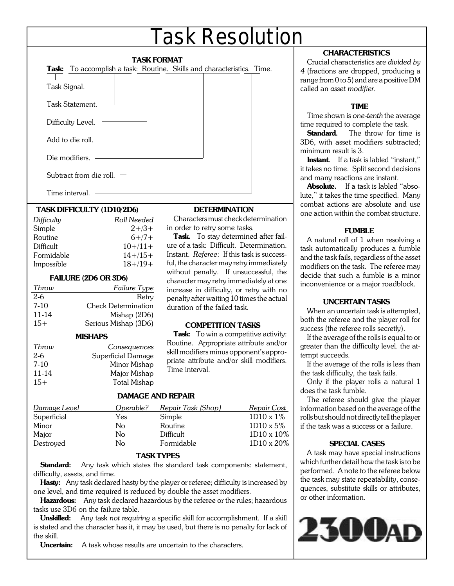# **Task Resolution**

| Task: To accomplish a task: Routine. Skills and characteristics. Time.<br>Task Signal. |  |  |  |
|----------------------------------------------------------------------------------------|--|--|--|
| Task Statement.                                                                        |  |  |  |
| Difficulty Level.                                                                      |  |  |  |
| Add to die roll. $-$                                                                   |  |  |  |
| Die modifiers.                                                                         |  |  |  |
| Subtract from die roll.                                                                |  |  |  |
| Time interval.                                                                         |  |  |  |

### **TASK DIFFICULTY (1D10/2D6)**

| Difficulty | Roll Needed |
|------------|-------------|
| Simple     | $2 + 3 +$   |
| Routine    | $6+7+$      |
| Difficult  | $10+/11+$   |
| Formidable | $14+/15+$   |
| Impossible | $18 + 19 +$ |
|            |             |

#### **FAILURE (2D6 OR 3D6)**

| Throw  | Failure Type               |
|--------|----------------------------|
| $2-6$  | Retry                      |
| $7-10$ | <b>Check Determination</b> |
| 11-14  | Mishap (2D6)               |
| $15+$  | Serious Mishap (3D6)       |

#### **MISHAPS**

| Throw  | Consequences        |
|--------|---------------------|
| $2-6$  | Superficial Damage  |
| $7-10$ | Minor Mishap        |
| 11-14  | Major Mishap        |
| $15+$  | <b>Total Mishap</b> |

### **DETERMINATION**

Characters must check determination in order to retry some tasks.

**Task.** To stay determined after failure of a task: Difficult. Determination. Instant. *Referee:* If this task is successful, the character may retry immediately without penalty. If unsuccessful, the character may retry immediately at one increase in difficulty, or retry with no penalty after waiting 10 times the actual duration of the failed task.

# **COMPETITION TASKS**

Task: To win a competitive activity: Routine. Appropriate attribute and/or skill modifiers minus opponent's appropriate attribute and/or skill modifiers. Time interval.

# **DAMAGE AND REPAIR**

| Damage Level | Operable? | Repair Task (Shop) | Repair Cost       |
|--------------|-----------|--------------------|-------------------|
| Superficial  | Yes       | Simple             | 1D10 x 1%         |
| Minor        | No        | Routine            | $1D10 \times 5\%$ |
| Major        | No        | Difficult          | 1D10 x 10%        |
| Destroyed    | No        | Formidable         | 1D10 x 20%        |

### **TASK TYPES**

**Standard:** Any task which states the standard task components: statement, difficulty, assets, and time.

**Hasty:** Any task declared hasty by the player or referee; difficulty is increased by one level, and time required is reduced by double the asset modifiers.

**Hazardous:** Any task declared hazardous by the referee or the rules; hazardous tasks use 3D6 on the failure table.

**Unskilled:** Any task *not requiring* a specific skill for accomplishment. If a skill is stated and the character has it, it may be used, but there is no penalty for lack of the skill.

**Uncertain:** A task whose results are uncertain to the characters.

# **CHARACTERISTICS**

Crucial characteristics are *divided by 4* (fractions are dropped, producing a range from 0 to 5) and are a positive DM called an *asset modifier*.

### **TIME**

Time shown is *one-tenth* the average time required to complete the task.

**Standard.** The throw for time is 3D6, with asset modifiers subtracted; minimum result is 3.

**Instant.** If a task is labled "instant," it takes no time. Split second decisions and many reactions are instant.

**Absolute.** If a task is labled "absolute," it takes the time specified. Many combat actions are absolute and use one action within the combat structure.

### **FUMBLE**

A natural roll of 1 when resolving a task automatically produces a fumble and the task fails, regardless of the asset modifiers on the task. The referee may decide that such a fumble is a minor inconvenience or a major roadblock.

### **UNCERTAIN TASKS**

When an uncertain task is attempted, both the referee and the player roll for success (the referee rolls secretly).

If the average of the rolls is equal to or greater than the difficulty level. the attempt succeeds.

If the average of the rolls is less than the task difficulty, the task fails.

Only if the player rolls a natural 1 does the task fumble.

The referee should give the player information based on the average of the rolls but should not directly tell the player if the task was a success or a failure.

### **SPECIAL CASES**

A task may have special instructions which further detail how the task is to be performed. A note to the referee below the task may state repeatability, consequences, substitute skills or attributes, or other information.

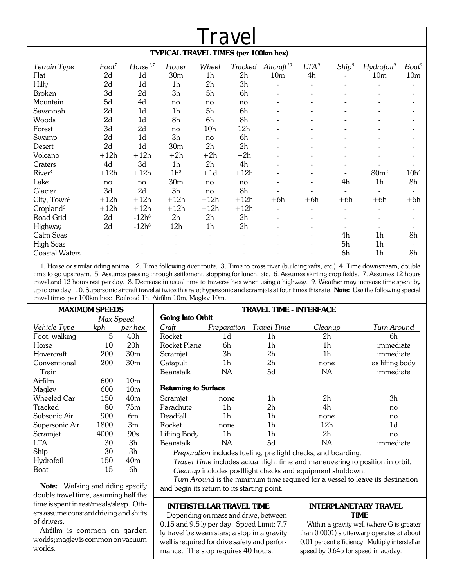| Travel                                      |                   |                      |                 |                 |                          |                          |                          |                   |                          |                   |  |  |  |
|---------------------------------------------|-------------------|----------------------|-----------------|-----------------|--------------------------|--------------------------|--------------------------|-------------------|--------------------------|-------------------|--|--|--|
| <b>TYPICAL TRAVEL TIMES (per 100km hex)</b> |                   |                      |                 |                 |                          |                          |                          |                   |                          |                   |  |  |  |
| Terrain Type                                | Foot <sup>7</sup> | Horse <sup>1,7</sup> | Hover           | Wheel           | Tracked                  | $Aircraft^{10}$          | LTA <sup>9</sup>         | Ship <sup>9</sup> | Hydrofoil <sup>9</sup>   | Boat <sup>9</sup> |  |  |  |
| Flat                                        | 2d                | 1 <sub>d</sub>       | 30 <sub>m</sub> | 1 <sub>h</sub>  | 2h                       | 10 <sub>m</sub>          | 4h                       |                   | 10 <sub>m</sub>          | 10 <sub>m</sub>   |  |  |  |
| Hilly                                       | 2d                | 1 <sub>d</sub>       | 1 <sub>h</sub>  | 2h              | 3h                       |                          |                          |                   |                          |                   |  |  |  |
| <b>Broken</b>                               | 3d                | 2d                   | 3h              | 5h              | 6h                       |                          |                          |                   |                          |                   |  |  |  |
| Mountain                                    | 5d                | 4d                   | no              | no              | no                       |                          |                          |                   |                          |                   |  |  |  |
| Savannah                                    | 2d                | 1 <sub>d</sub>       | 1h              | 5h              | 6h                       |                          |                          |                   |                          |                   |  |  |  |
| Woods                                       | 2d                | 1 <sub>d</sub>       | 8h              | 6h              | 8h                       |                          | $\overline{\phantom{0}}$ |                   | -                        |                   |  |  |  |
| Forest                                      | 3d                | 2d                   | no              | 10 <sub>h</sub> | 12h                      |                          |                          |                   |                          |                   |  |  |  |
| Swamp                                       | 2d                | 1 <sub>d</sub>       | 3h              | no              | 6h                       |                          |                          |                   |                          |                   |  |  |  |
| Desert                                      | 2d                | 1 <sub>d</sub>       | 30 <sub>m</sub> | 2h              | 2h                       |                          |                          |                   |                          |                   |  |  |  |
| Volcano                                     | $+12h$            | $+12h$               | $+2h$           | $+2h$           | $+2h$                    |                          |                          |                   |                          |                   |  |  |  |
| Craters                                     | 4d                | 3d                   | 1 <sub>h</sub>  | 2h              | 4h                       |                          |                          |                   |                          |                   |  |  |  |
| River <sup>3</sup>                          | $+12h$            | $+12h$               | 1h <sup>2</sup> | $+1d$           | $+12h$                   |                          |                          |                   | 80 <sup>m²</sup>         | 10h <sup>4</sup>  |  |  |  |
| Lake                                        | no                | no                   | 30 <sub>m</sub> | no              | no                       |                          |                          | 4h                | 1 <sub>h</sub>           | 8h                |  |  |  |
| Glacier                                     | 3d                | 2d                   | 3h              | no              | 8h                       |                          |                          |                   |                          |                   |  |  |  |
| City, Town <sup>5</sup>                     | $+12h$            | $+12h$               | $+12h$          | $+12h$          | $+12h$                   | $+6h$                    | $+6h$                    | $+6h$             | $+6h$                    | $+6h$             |  |  |  |
| Cropland <sup>6</sup>                       | $+12h$            | $+12h$               | $+12h$          | $+12h$          | $+12h$                   |                          |                          |                   | ۰                        |                   |  |  |  |
| Road Grid                                   | 2d                | $-12h^8$             | 2h              | 2h              | 2h                       |                          |                          |                   |                          |                   |  |  |  |
| Highway                                     | 2d                | $-12h^8$             | 12h             | 1 <sub>h</sub>  | 2 <sub>h</sub>           | $\overline{\phantom{0}}$ | $\overline{\phantom{a}}$ |                   | $\overline{\phantom{a}}$ |                   |  |  |  |
| Calm Seas                                   |                   |                      |                 |                 | $\overline{\phantom{0}}$ |                          |                          | 4h                | 1h                       | 8h                |  |  |  |
| <b>High Seas</b>                            |                   |                      |                 |                 |                          |                          |                          | 5h                | 1 <sub>h</sub>           |                   |  |  |  |
| <b>Coastal Waters</b>                       |                   |                      |                 |                 |                          |                          |                          | 6h                | 1 <sub>h</sub>           | 8h                |  |  |  |

1. Horse or similar riding animal. 2. Time following river route. 3. Time to cross river (building rafts, etc.) 4. Time downstream, double time to go upstream. 5. Assumes passing through settlement, stopping for lunch, etc. 6. Assumes skirting crop fields. 7. Assumes 12 hours travel and 12 hours rest per day. 8. Decrease in usual time to traverse hex when using a highway. 9. Weather may increase time spent by up to one day. 10. Supersonic aircraft travel at twice this rate; hypersonic and scramjets at four times this rate. **Note:** Use the following special travel times per 100km hex: Railroad 1h, Airfilm 10m, Maglev 10m.

| <b>MAXIMUM SPEEDS</b> |           |                 | TRAVEL TIME - INTERFACE                                                        |                |             |                |                 |  |  |  |
|-----------------------|-----------|-----------------|--------------------------------------------------------------------------------|----------------|-------------|----------------|-----------------|--|--|--|
|                       | Max Speed |                 | <b>Going Into Orbit</b>                                                        |                |             |                |                 |  |  |  |
| Vehicle Type          | kph       | per hex         | Craft                                                                          | Preparation    | Travel Time | Cleanup        | Tum Around      |  |  |  |
| Foot, walking         | 5         | 40h             | Rocket                                                                         | 1d             | 1h          | 2h             | 6h              |  |  |  |
| Horse                 | 10        | 20 <sub>h</sub> | Rocket Plane                                                                   | 6h             | 1h          | 1 <sub>h</sub> | immediate       |  |  |  |
| Hovercraft            | 200       | 30 <sub>m</sub> | Scramjet                                                                       | 3h             | 2h          | 1h             | immediate       |  |  |  |
| Conventional          | 200       | 30 <sub>m</sub> | Catapult                                                                       | 1h             | 2h          | none           | as lifting body |  |  |  |
| Train                 |           |                 | <b>Beanstalk</b>                                                               | NA             | 5d          | NA             | immediate       |  |  |  |
| Airfilm               | 600       | 10 <sub>m</sub> |                                                                                |                |             |                |                 |  |  |  |
| Maglev                | 600       | 10 <sub>m</sub> | <b>Returning to Surface</b>                                                    |                |             |                |                 |  |  |  |
| Wheeled Car           | 150       | 40 <sub>m</sub> | Scramjet                                                                       | none           | 1h          | 2 <sub>h</sub> | 3h              |  |  |  |
| Tracked               | 80        | 75m             | Parachute                                                                      | 1h             | 2h          | 4h             | no              |  |  |  |
| Subsonic Air          | 900       | 6m              | Deadfall                                                                       | 1 <sub>h</sub> | 1h          | none           | no              |  |  |  |
| Supersonic Air        | 1800      | 3m              | Rocket                                                                         | none           | 1h          | 12h            | 1d              |  |  |  |
| Scramjet              | 4000      | 90s             | Lifting Body                                                                   | 1h             | 1h          | 2h             | no              |  |  |  |
| <b>LTA</b>            | 30        | 3h              | <b>Beanstalk</b>                                                               | NA             | 5d          | NA             | immediate       |  |  |  |
| Ship                  | 30        | 3h              | Preparation includes fueling, preflight checks, and boarding.                  |                |             |                |                 |  |  |  |
| Hydrofoil             | 150       | 40 <sub>m</sub> | Travel Time includes actual flight time and maneuvering to position in orbit.  |                |             |                |                 |  |  |  |
| Boat                  | 15        | 6h              | Cleanup includes postflight checks and equipment shutdown.                     |                |             |                |                 |  |  |  |
|                       |           |                 | Turn Around is the minimum time required for a vessel to leave its destination |                |             |                |                 |  |  |  |

**Note:** Walking and riding specify double travel time, assuming half the time is spent in rest/meals/sleep. Others assume constant driving and shifts of drivers.

Airfilm is common on garden worlds; maglev is common on vacuum worlds.

#### **INTERSTELLAR TRAVEL TIME**

and begin its return to its starting point.

Depending on mass and drive, between 0.15 and 9.5 ly per day. Speed Limit: 7.7 ly travel between stars; a stop in a gravity well is required for drive safety and performance. The stop requires 40 hours.

#### **INTERPLANETARY TRAVEL TIME**

Within a gravity well (where G is greater than 0.0001) stutterwarp operates at about 0.01 percent efficiency. Multiply interstellar speed by 0.645 for speed in au/day.